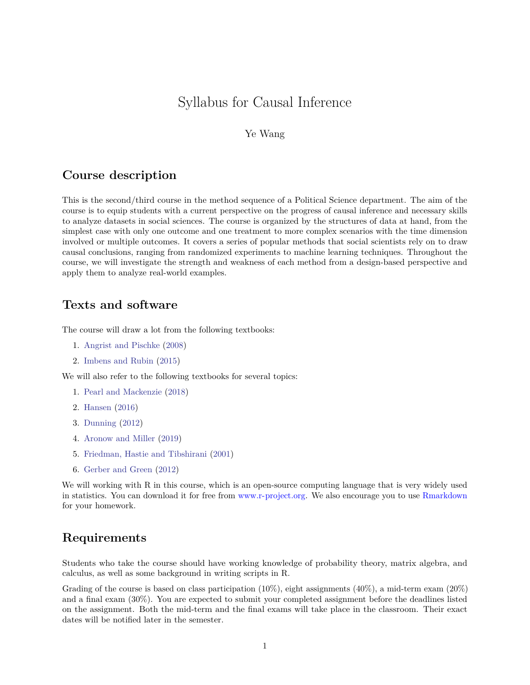# Syllabus for Causal Inference

#### Ye Wang

### **Course description**

This is the second/third course in the method sequence of a Political Science department. The aim of the course is to equip students with a current perspective on the progress of causal inference and necessary skills to analyze datasets in social sciences. The course is organized by the structures of data at hand, from the simplest case with only one outcome and one treatment to more complex scenarios with the time dimension involved or multiple outcomes. It covers a series of popular methods that social scientists rely on to draw causal conclusions, ranging from randomized experiments to machine learning techniques. Throughout the course, we will investigate the strength and weakness of each method from a design-based perspective and apply them to analyze real-world examples.

### **Texts and software**

The course will draw a lot from the following textbooks:

- 1. [Angrist and Pischke](#page-8-0) [\(2008\)](#page-8-0)
- 2. [Imbens and Rubin](#page-13-0) [\(2015\)](#page-13-0)

We will also refer to the following textbooks for several topics:

- 1. [Pearl and Mackenzie](#page-15-0) [\(2018\)](#page-15-0)
- 2. [Hansen](#page-12-0) [\(2016\)](#page-12-0)
- 3. [Dunning](#page-11-0) [\(2012\)](#page-11-0)
- 4. [Aronow and Miller](#page-8-1) [\(2019\)](#page-8-1)
- 5. [Friedman, Hastie and Tibshirani](#page-11-1) [\(2001\)](#page-11-1)
- 6. [Gerber and Green](#page-11-2) [\(2012\)](#page-11-2)

We will working with R in this course, which is an open-source computing language that is very widely used in statistics. You can download it for free from [www.r-project.org.](www.r-project.org) We also encourage you to use [Rmarkdown](https://rmarkdown.rstudio.com/) for your homework.

### **Requirements**

Students who take the course should have working knowledge of probability theory, matrix algebra, and calculus, as well as some background in writing scripts in R.

Grading of the course is based on class participation  $(10\%)$ , eight assignments  $(40\%)$ , a mid-term exam  $(20\%)$ and a final exam (30%). You are expected to submit your completed assignment before the deadlines listed on the assignment. Both the mid-term and the final exams will take place in the classroom. Their exact dates will be notified later in the semester.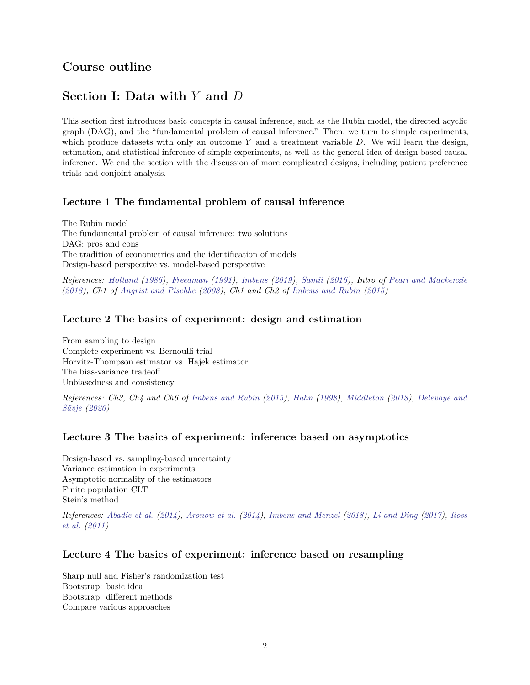## **Course outline**

## **Section I: Data with** *Y* **and** *D*

This section first introduces basic concepts in causal inference, such as the Rubin model, the directed acyclic graph (DAG), and the "fundamental problem of causal inference." Then, we turn to simple experiments, which produce datasets with only an outcome *Y* and a treatment variable *D*. We will learn the design, estimation, and statistical inference of simple experiments, as well as the general idea of design-based causal inference. We end the section with the discussion of more complicated designs, including patient preference trials and conjoint analysis.

### **Lecture 1 The fundamental problem of causal inference**

The Rubin model The fundamental problem of causal inference: two solutions DAG: pros and cons The tradition of econometrics and the identification of models Design-based perspective vs. model-based perspective

*References: [Holland](#page-12-1) [\(1986\)](#page-12-1), [Freedman](#page-11-3) [\(1991\)](#page-11-3), [Imbens](#page-13-1) [\(2019\)](#page-13-1), [Samii](#page-16-0) [\(2016\)](#page-16-0), Intro of [Pearl and Mackenzie](#page-15-0) [\(2018\)](#page-15-0), Ch1 of [Angrist and Pischke](#page-8-0) [\(2008\)](#page-8-0), Ch1 and Ch2 of [Imbens and Rubin](#page-13-0) [\(2015\)](#page-13-0)*

### **Lecture 2 The basics of experiment: design and estimation**

From sampling to design Complete experiment vs. Bernoulli trial Horvitz-Thompson estimator vs. Hajek estimator The bias-variance tradeoff Unbiasedness and consistency

*References: Ch3, Ch4 and Ch6 of [Imbens and Rubin](#page-13-0) [\(2015\)](#page-13-0), [Hahn](#page-12-2) [\(1998\)](#page-12-2), [Middleton](#page-15-1) [\(2018\)](#page-15-1), [Delevoye and](#page-11-4) [Sävje](#page-11-4) [\(2020\)](#page-11-4)*

### **Lecture 3 The basics of experiment: inference based on asymptotics**

Design-based vs. sampling-based uncertainty Variance estimation in experiments Asymptotic normality of the estimators Finite population CLT Stein's method

*References: [Abadie et al.](#page-8-2) [\(2014\)](#page-8-2), [Aronow et al.](#page-9-0) [\(2014\)](#page-9-0), [Imbens and Menzel](#page-13-2) [\(2018\)](#page-13-2), [Li and Ding](#page-14-0) [\(2017\)](#page-14-0), [Ross](#page-16-1) [et al.](#page-16-1) [\(2011\)](#page-16-1)*

### **Lecture 4 The basics of experiment: inference based on resampling**

Sharp null and Fisher's randomization test Bootstrap: basic idea Bootstrap: different methods Compare various approaches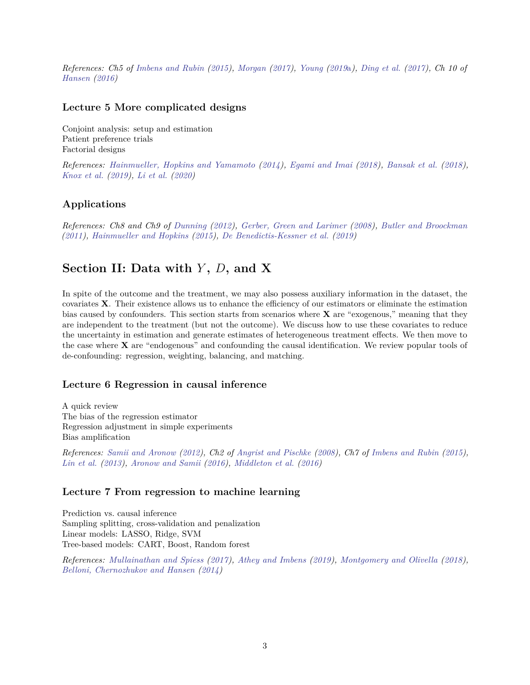*References: Ch5 of [Imbens and Rubin](#page-13-0) [\(2015\)](#page-13-0), [Morgan](#page-15-2) [\(2017\)](#page-15-2), [Young](#page-16-2) [\(2019](#page-16-2)*a*), [Ding et al.](#page-11-5) [\(2017\)](#page-11-5), Ch 10 of [Hansen](#page-12-0) [\(2016\)](#page-12-0)*

### **Lecture 5 More complicated designs**

Conjoint analysis: setup and estimation Patient preference trials Factorial designs

*References: [Hainmueller, Hopkins and Yamamoto](#page-12-3) [\(2014\)](#page-12-3), [Egami and Imai](#page-11-6) [\(2018\)](#page-11-6), [Bansak et al.](#page-9-1) [\(2018\)](#page-9-1), [Knox et al.](#page-14-1) [\(2019\)](#page-14-1), [Li et al.](#page-14-2) [\(2020\)](#page-14-2)*

### **Applications**

*References: Ch8 and Ch9 of [Dunning](#page-11-0) [\(2012\)](#page-11-0), [Gerber, Green and Larimer](#page-11-7) [\(2008\)](#page-11-7), [Butler and Broockman](#page-9-2) [\(2011\)](#page-9-2), [Hainmueller and Hopkins](#page-12-4) [\(2015\)](#page-12-4), [De Benedictis-Kessner et al.](#page-10-0) [\(2019\)](#page-10-0)*

## **Section II: Data with** *Y* **,** *D***, and X**

In spite of the outcome and the treatment, we may also possess auxiliary information in the dataset, the covariates **X**. Their existence allows us to enhance the efficiency of our estimators or eliminate the estimation bias caused by confounders. This section starts from scenarios where **X** are "exogenous," meaning that they are independent to the treatment (but not the outcome). We discuss how to use these covariates to reduce the uncertainty in estimation and generate estimates of heterogeneous treatment effects. We then move to the case where **X** are "endogenous" and confounding the causal identification. We review popular tools of de-confounding: regression, weighting, balancing, and matching.

### **Lecture 6 Regression in causal inference**

A quick review The bias of the regression estimator Regression adjustment in simple experiments Bias amplification

*References: [Samii and Aronow](#page-16-3) [\(2012\)](#page-16-3), Ch2 of [Angrist and Pischke](#page-8-0) [\(2008\)](#page-8-0), Ch7 of [Imbens and Rubin](#page-13-0) [\(2015\)](#page-13-0), [Lin et al.](#page-14-3) [\(2013\)](#page-14-3), [Aronow and Samii](#page-8-3) [\(2016\)](#page-8-3), [Middleton et al.](#page-15-3) [\(2016\)](#page-15-3)*

### **Lecture 7 From regression to machine learning**

Prediction vs. causal inference Sampling splitting, cross-validation and penalization Linear models: LASSO, Ridge, SVM Tree-based models: CART, Boost, Random forest

*References: [Mullainathan and Spiess](#page-15-4) [\(2017\)](#page-15-4), [Athey and Imbens](#page-9-3) [\(2019\)](#page-9-3), [Montgomery and Olivella](#page-15-5) [\(2018\)](#page-15-5), [Belloni, Chernozhukov and Hansen](#page-9-4) [\(2014\)](#page-9-4)*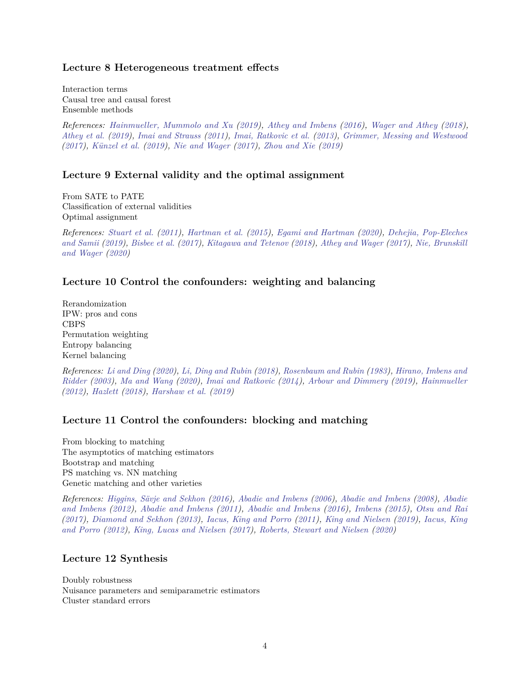#### **Lecture 8 Heterogeneous treatment effects**

Interaction terms Causal tree and causal forest Ensemble methods

*References: [Hainmueller, Mummolo and Xu](#page-12-5) [\(2019\)](#page-12-5), [Athey and Imbens](#page-9-5) [\(2016\)](#page-9-5), [Wager and Athey](#page-16-4) [\(2018\)](#page-16-4), [Athey et al.](#page-9-6) [\(2019\)](#page-9-6), [Imai and Strauss](#page-13-3) [\(2011\)](#page-13-3), [Imai, Ratkovic et al.](#page-13-4) [\(2013\)](#page-13-4), [Grimmer, Messing and Westwood](#page-12-6) [\(2017\)](#page-12-6), [Künzel et al.](#page-14-4) [\(2019\)](#page-14-4), [Nie and Wager](#page-15-6) [\(2017\)](#page-15-6), [Zhou and Xie](#page-17-0) [\(2019\)](#page-17-0)*

#### **Lecture 9 External validity and the optimal assignment**

From SATE to PATE Classification of external validities Optimal assignment

*References: [Stuart et al.](#page-16-5) [\(2011\)](#page-16-5), [Hartman et al.](#page-12-7) [\(2015\)](#page-12-7), [Egami and Hartman](#page-11-8) [\(2020\)](#page-11-8), [Dehejia, Pop-Eleches](#page-11-9) [and Samii](#page-11-9) [\(2019\)](#page-11-9), [Bisbee et al.](#page-9-7) [\(2017\)](#page-9-7), [Kitagawa and Tetenov](#page-14-5) [\(2018\)](#page-14-5), [Athey and Wager](#page-9-8) [\(2017\)](#page-9-8), [Nie, Brunskill](#page-15-7) [and Wager](#page-15-7) [\(2020\)](#page-15-7)*

#### **Lecture 10 Control the confounders: weighting and balancing**

Rerandomization IPW: pros and cons CBPS Permutation weighting Entropy balancing Kernel balancing

*References: [Li and Ding](#page-14-6) [\(2020\)](#page-14-6), [Li, Ding and Rubin](#page-14-7) [\(2018\)](#page-14-7), [Rosenbaum and Rubin](#page-16-6) [\(1983\)](#page-16-6), [Hirano, Imbens and](#page-12-8) [Ridder](#page-12-8) [\(2003\)](#page-12-8), [Ma and Wang](#page-15-8) [\(2020\)](#page-15-8), [Imai and Ratkovic](#page-13-5) [\(2014\)](#page-13-5), [Arbour and Dimmery](#page-8-4) [\(2019\)](#page-8-4), [Hainmueller](#page-12-9) [\(2012\)](#page-12-9), [Hazlett](#page-12-10) [\(2018\)](#page-12-10), [Harshaw et al.](#page-12-11) [\(2019\)](#page-12-11)*

### **Lecture 11 Control the confounders: blocking and matching**

From blocking to matching The asymptotics of matching estimators Bootstrap and matching PS matching vs. NN matching Genetic matching and other varieties

*References: [Higgins, Sävje and Sekhon](#page-12-12) [\(2016\)](#page-12-12), [Abadie and Imbens](#page-7-0) [\(2006\)](#page-7-0), [Abadie and Imbens](#page-7-1) [\(2008\)](#page-7-1), [Abadie](#page-7-2) [and Imbens](#page-7-2) [\(2012\)](#page-7-2), [Abadie and Imbens](#page-7-3) [\(2011\)](#page-7-3), [Abadie and Imbens](#page-7-4) [\(2016\)](#page-7-4), [Imbens](#page-13-6) [\(2015\)](#page-13-6), [Otsu and Rai](#page-15-9) [\(2017\)](#page-15-9), [Diamond and Sekhon](#page-11-10) [\(2013\)](#page-11-10), [Iacus, King and Porro](#page-13-7) [\(2011\)](#page-13-7), [King and Nielsen](#page-14-8) [\(2019\)](#page-14-8), [Iacus, King](#page-13-8) [and Porro](#page-13-8) [\(2012\)](#page-13-8), [King, Lucas and Nielsen](#page-14-9) [\(2017\)](#page-14-9), [Roberts, Stewart and Nielsen](#page-15-10) [\(2020\)](#page-15-10)*

### **Lecture 12 Synthesis**

Doubly robustness Nuisance parameters and semiparametric estimators Cluster standard errors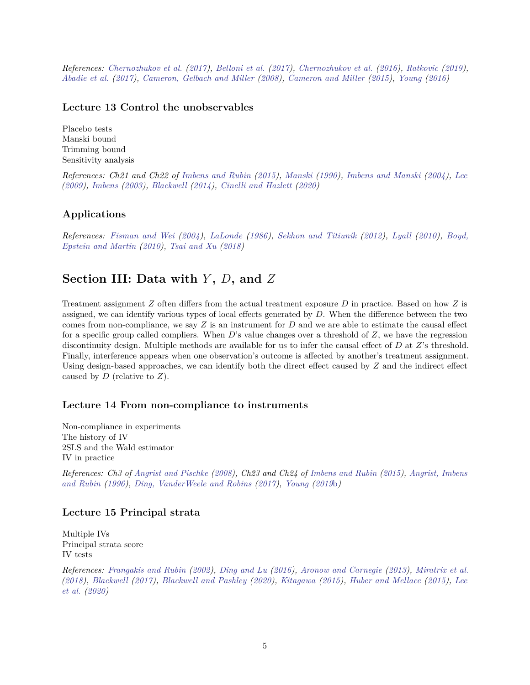*References: [Chernozhukov et al.](#page-10-1) [\(2017\)](#page-10-1), [Belloni et al.](#page-9-9) [\(2017\)](#page-9-9), [Chernozhukov et al.](#page-10-2) [\(2016\)](#page-10-2), [Ratkovic](#page-15-11) [\(2019\)](#page-15-11), [Abadie et al.](#page-8-5) [\(2017\)](#page-8-5), [Cameron, Gelbach and Miller](#page-10-3) [\(2008\)](#page-10-3), [Cameron and Miller](#page-10-4) [\(2015\)](#page-10-4), [Young](#page-16-7) [\(2016\)](#page-16-7)*

### **Lecture 13 Control the unobservables**

Placebo tests Manski bound Trimming bound Sensitivity analysis

*References: Ch21 and Ch22 of [Imbens and Rubin](#page-13-0) [\(2015\)](#page-13-0), [Manski](#page-15-12) [\(1990\)](#page-15-12), [Imbens and Manski](#page-13-9) [\(2004\)](#page-13-9), [Lee](#page-14-10) [\(2009\)](#page-14-10), [Imbens](#page-13-10) [\(2003\)](#page-13-10), [Blackwell](#page-9-10) [\(2014\)](#page-9-10), [Cinelli and Hazlett](#page-10-5) [\(2020\)](#page-10-5)*

### **Applications**

*References: [Fisman and Wei](#page-11-11) [\(2004\)](#page-11-11), [LaLonde](#page-14-11) [\(1986\)](#page-14-11), [Sekhon and Titiunik](#page-16-8) [\(2012\)](#page-16-8), [Lyall](#page-15-13) [\(2010\)](#page-15-13), [Boyd,](#page-9-11) [Epstein and Martin](#page-9-11) [\(2010\)](#page-9-11), [Tsai and Xu](#page-16-9) [\(2018\)](#page-16-9)*

## **Section III: Data with** *Y* **,** *D***, and** *Z*

Treatment assignment *Z* often differs from the actual treatment exposure *D* in practice. Based on how *Z* is assigned, we can identify various types of local effects generated by *D*. When the difference between the two comes from non-compliance, we say *Z* is an instrument for *D* and we are able to estimate the causal effect for a specific group called compliers. When *D*'s value changes over a threshold of *Z*, we have the regression discontinuity design. Multiple methods are available for us to infer the causal effect of *D* at *Z*'s threshold. Finally, interference appears when one observation's outcome is affected by another's treatment assignment. Using design-based approaches, we can identify both the direct effect caused by *Z* and the indirect effect caused by *D* (relative to *Z*).

### **Lecture 14 From non-compliance to instruments**

Non-compliance in experiments The history of IV 2SLS and the Wald estimator IV in practice

*References: Ch3 of [Angrist and Pischke](#page-8-0) [\(2008\)](#page-8-0), Ch23 and Ch24 of [Imbens and Rubin](#page-13-0) [\(2015\)](#page-13-0), [Angrist, Imbens](#page-8-6) [and Rubin](#page-8-6) [\(1996\)](#page-8-6), [Ding, VanderWeele and Robins](#page-11-12) [\(2017\)](#page-11-12), [Young](#page-16-10) [\(2019](#page-16-10)*b*)*

### **Lecture 15 Principal strata**

Multiple IVs Principal strata score IV tests

*References: [Frangakis and Rubin](#page-11-13) [\(2002\)](#page-11-13), [Ding and Lu](#page-11-14) [\(2016\)](#page-11-14), [Aronow and Carnegie](#page-8-7) [\(2013\)](#page-8-7), [Miratrix et al.](#page-15-14) [\(2018\)](#page-15-14), [Blackwell](#page-9-12) [\(2017\)](#page-9-12), [Blackwell and Pashley](#page-9-13) [\(2020\)](#page-9-13), [Kitagawa](#page-14-12) [\(2015\)](#page-14-12), [Huber and Mellace](#page-13-11) [\(2015\)](#page-13-11), [Lee](#page-14-13) [et al.](#page-14-13) [\(2020\)](#page-14-13)*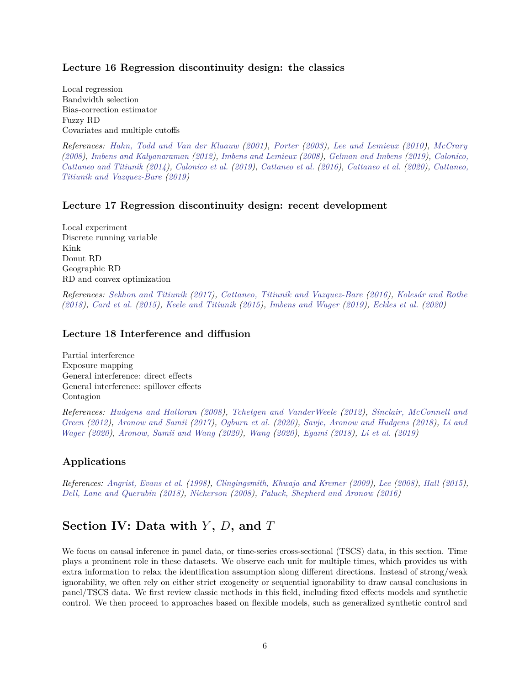#### **Lecture 16 Regression discontinuity design: the classics**

Local regression Bandwidth selection Bias-correction estimator Fuzzy RD Covariates and multiple cutoffs

*References: [Hahn, Todd and Van der Klaauw](#page-12-13) [\(2001\)](#page-12-13), [Porter](#page-15-15) [\(2003\)](#page-15-15), [Lee and Lemieux](#page-14-14) [\(2010\)](#page-14-14), [McCrary](#page-15-16) [\(2008\)](#page-15-16), [Imbens and Kalyanaraman](#page-13-12) [\(2012\)](#page-13-12), [Imbens and Lemieux](#page-13-13) [\(2008\)](#page-13-13), [Gelman and Imbens](#page-11-15) [\(2019\)](#page-11-15), [Calonico,](#page-10-6) [Cattaneo and Titiunik](#page-10-6) [\(2014\)](#page-10-6), [Calonico et al.](#page-10-7) [\(2019\)](#page-10-7), [Cattaneo et al.](#page-10-8) [\(2016\)](#page-10-8), [Cattaneo et al.](#page-10-9) [\(2020\)](#page-10-9), [Cattaneo,](#page-10-10) [Titiunik and Vazquez-Bare](#page-10-10) [\(2019\)](#page-10-10)*

### **Lecture 17 Regression discontinuity design: recent development**

Local experiment Discrete running variable Kink Donut RD Geographic RD RD and convex optimization

*References: [Sekhon and Titiunik](#page-16-11) [\(2017\)](#page-16-11), [Cattaneo, Titiunik and Vazquez-Bare](#page-10-11) [\(2016\)](#page-10-11), [Kolesár and Rothe](#page-14-15) [\(2018\)](#page-14-15), [Card et al.](#page-10-12) [\(2015\)](#page-10-12), [Keele and Titiunik](#page-14-16) [\(2015\)](#page-14-16), [Imbens and Wager](#page-13-14) [\(2019\)](#page-13-14), [Eckles et al.](#page-11-16) [\(2020\)](#page-11-16)*

#### **Lecture 18 Interference and diffusion**

Partial interference Exposure mapping General interference: direct effects General interference: spillover effects Contagion

*References: [Hudgens and Halloran](#page-13-15) [\(2008\)](#page-13-15), [Tchetgen and VanderWeele](#page-16-12) [\(2012\)](#page-16-12), [Sinclair, McConnell and](#page-16-13) [Green](#page-16-13) [\(2012\)](#page-16-13), [Aronow and Samii](#page-8-8) [\(2017\)](#page-8-8), [Ogburn et al.](#page-15-17) [\(2020\)](#page-15-17), [Savje, Aronow and Hudgens](#page-16-14) [\(2018\)](#page-16-14), [Li and](#page-14-17) [Wager](#page-14-17) [\(2020\)](#page-14-17), [Aronow, Samii and Wang](#page-8-9) [\(2020\)](#page-8-9), [Wang](#page-16-15) [\(2020\)](#page-16-15), [Egami](#page-11-17) [\(2018\)](#page-11-17), [Li et al.](#page-14-18) [\(2019\)](#page-14-18)*

### **Applications**

*References: [Angrist, Evans et al.](#page-8-10) [\(1998\)](#page-8-10), [Clingingsmith, Khwaja and Kremer](#page-10-13) [\(2009\)](#page-10-13), [Lee](#page-14-19) [\(2008\)](#page-14-19), [Hall](#page-12-14) [\(2015\)](#page-12-14), [Dell, Lane and Querubin](#page-11-18) [\(2018\)](#page-11-18), [Nickerson](#page-15-18) [\(2008\)](#page-15-18), [Paluck, Shepherd and Aronow](#page-15-19) [\(2016\)](#page-15-19)*

## **Section IV: Data with** *Y* **,** *D***, and** *T*

We focus on causal inference in panel data, or time-series cross-sectional (TSCS) data, in this section. Time plays a prominent role in these datasets. We observe each unit for multiple times, which provides us with extra information to relax the identification assumption along different directions. Instead of strong/weak ignorability, we often rely on either strict exogeneity or sequential ignorability to draw causal conclusions in panel/TSCS data. We first review classic methods in this field, including fixed effects models and synthetic control. We then proceed to approaches based on flexible models, such as generalized synthetic control and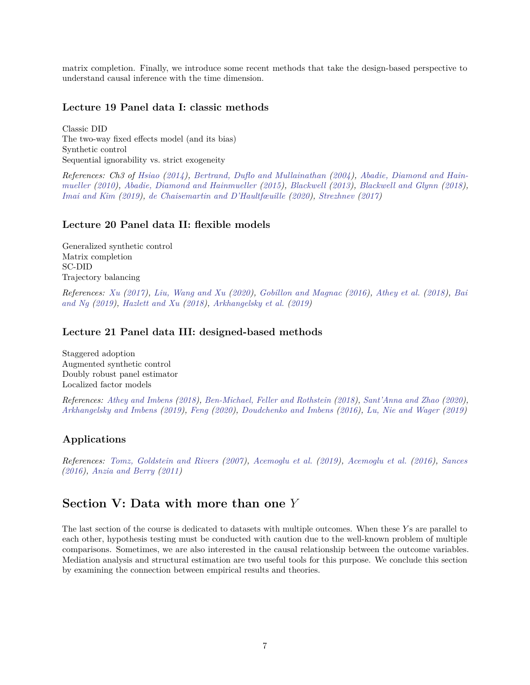matrix completion. Finally, we introduce some recent methods that take the design-based perspective to understand causal inference with the time dimension.

#### **Lecture 19 Panel data I: classic methods**

Classic DID The two-way fixed effects model (and its bias) Synthetic control Sequential ignorability vs. strict exogeneity

*References: Ch3 of [Hsiao](#page-13-16) [\(2014\)](#page-13-16), [Bertrand, Duflo and Mullainathan](#page-9-14) [\(2004\)](#page-9-14), [Abadie, Diamond and Hain](#page-7-5)[mueller](#page-7-5) [\(2010\)](#page-7-5), [Abadie, Diamond and Hainmueller](#page-7-6) [\(2015\)](#page-7-6), [Blackwell](#page-9-15) [\(2013\)](#page-9-15), [Blackwell and Glynn](#page-9-16) [\(2018\)](#page-9-16), [Imai and Kim](#page-13-17) [\(2019\)](#page-13-17), [de Chaisemartin and D'Haultfœuille](#page-10-14) [\(2020\)](#page-10-14), [Strezhnev](#page-16-16) [\(2017\)](#page-16-16)*

#### **Lecture 20 Panel data II: flexible models**

Generalized synthetic control Matrix completion SC-DID Trajectory balancing

*References: [Xu](#page-16-17) [\(2017\)](#page-16-17), [Liu, Wang and Xu](#page-14-20) [\(2020\)](#page-14-20), [Gobillon and Magnac](#page-12-15) [\(2016\)](#page-12-15), [Athey et al.](#page-9-17) [\(2018\)](#page-9-17), [Bai](#page-9-18) [and Ng](#page-9-18) [\(2019\)](#page-9-18), [Hazlett and Xu](#page-12-16) [\(2018\)](#page-12-16), [Arkhangelsky et al.](#page-8-11) [\(2019\)](#page-8-11)*

#### **Lecture 21 Panel data III: designed-based methods**

Staggered adoption Augmented synthetic control Doubly robust panel estimator Localized factor models

*References: [Athey and Imbens](#page-9-19) [\(2018\)](#page-9-19), [Ben-Michael, Feller and Rothstein](#page-9-20) [\(2018\)](#page-9-20), [Sant'Anna and Zhao](#page-16-18) [\(2020\)](#page-16-18), [Arkhangelsky and Imbens](#page-8-12) [\(2019\)](#page-8-12), [Feng](#page-11-19) [\(2020\)](#page-11-19), [Doudchenko and Imbens](#page-11-20) [\(2016\)](#page-11-20), [Lu, Nie and Wager](#page-15-20) [\(2019\)](#page-15-20)*

### **Applications**

*References: [Tomz, Goldstein and Rivers](#page-16-19) [\(2007\)](#page-16-19), [Acemoglu et al.](#page-8-13) [\(2019\)](#page-8-13), [Acemoglu et al.](#page-8-14) [\(2016\)](#page-8-14), [Sances](#page-16-20) [\(2016\)](#page-16-20), [Anzia and Berry](#page-8-15) [\(2011\)](#page-8-15)*

## **Section V: Data with more than one** *Y*

The last section of the course is dedicated to datasets with multiple outcomes. When these *Y* s are parallel to each other, hypothesis testing must be conducted with caution due to the well-known problem of multiple comparisons. Sometimes, we are also interested in the causal relationship between the outcome variables. Mediation analysis and structural estimation are two useful tools for this purpose. We conclude this section by examining the connection between empirical results and theories.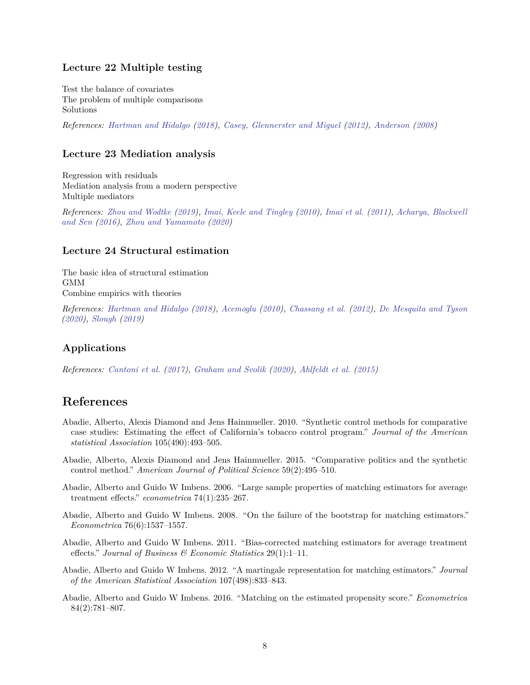### **Lecture 22 Multiple testing**

Test the balance of covariates The problem of multiple comparisons Solutions

*References: [Hartman and Hidalgo](#page-12-17) [\(2018\)](#page-12-17), [Casey, Glennerster and Miguel](#page-10-15) [\(2012\)](#page-10-15), [Anderson](#page-8-16) [\(2008\)](#page-8-16)*

#### **Lecture 23 Mediation analysis**

Regression with residuals Mediation analysis from a modern perspective Multiple mediators

*References: [Zhou and Wodtke](#page-17-1) [\(2019\)](#page-17-1), [Imai, Keele and Tingley](#page-13-18) [\(2010\)](#page-13-18), [Imai et al.](#page-13-19) [\(2011\)](#page-13-19), [Acharya, Blackwell](#page-8-17) [and Sen](#page-8-17) [\(2016\)](#page-8-17), [Zhou and Yamamoto](#page-17-2) [\(2020\)](#page-17-2)*

#### **Lecture 24 Structural estimation**

The basic idea of structural estimation GMM Combine empirics with theories

*References: [Hartman and Hidalgo](#page-12-17) [\(2018\)](#page-12-17), [Acemoglu](#page-8-18) [\(2010\)](#page-8-18), [Chassang et al.](#page-10-16) [\(2012\)](#page-10-16), [De Mesquita and Tyson](#page-10-17) [\(2020\)](#page-10-17), [Slough](#page-16-21) [\(2019\)](#page-16-21)*

### **Applications**

*References: [Cantoni et al.](#page-10-18) [\(2017\)](#page-10-18), [Graham and Svolik](#page-12-18) [\(2020\)](#page-12-18), [Ahlfeldt et al.](#page-8-19) [\(2015\)](#page-8-19)*

### **References**

- <span id="page-7-5"></span>Abadie, Alberto, Alexis Diamond and Jens Hainmueller. 2010. "Synthetic control methods for comparative case studies: Estimating the effect of California's tobacco control program." *Journal of the American statistical Association* 105(490):493–505.
- <span id="page-7-6"></span>Abadie, Alberto, Alexis Diamond and Jens Hainmueller. 2015. "Comparative politics and the synthetic control method." *American Journal of Political Science* 59(2):495–510.
- <span id="page-7-0"></span>Abadie, Alberto and Guido W Imbens. 2006. "Large sample properties of matching estimators for average treatment effects." *econometrica* 74(1):235–267.
- <span id="page-7-1"></span>Abadie, Alberto and Guido W Imbens. 2008. "On the failure of the bootstrap for matching estimators." *Econometrica* 76(6):1537–1557.
- <span id="page-7-3"></span>Abadie, Alberto and Guido W Imbens. 2011. "Bias-corrected matching estimators for average treatment effects." *Journal of Business & Economic Statistics* 29(1):1–11.
- <span id="page-7-2"></span>Abadie, Alberto and Guido W Imbens. 2012. "A martingale representation for matching estimators." *Journal of the American Statistical Association* 107(498):833–843.
- <span id="page-7-4"></span>Abadie, Alberto and Guido W Imbens. 2016. "Matching on the estimated propensity score." *Econometrica* 84(2):781–807.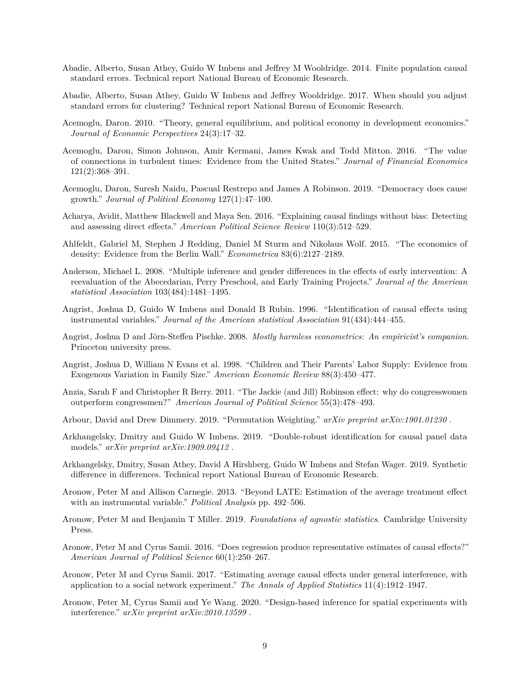- <span id="page-8-2"></span>Abadie, Alberto, Susan Athey, Guido W Imbens and Jeffrey M Wooldridge. 2014. Finite population causal standard errors. Technical report National Bureau of Economic Research.
- <span id="page-8-5"></span>Abadie, Alberto, Susan Athey, Guido W Imbens and Jeffrey Wooldridge. 2017. When should you adjust standard errors for clustering? Technical report National Bureau of Economic Research.
- <span id="page-8-18"></span>Acemoglu, Daron. 2010. "Theory, general equilibrium, and political economy in development economics." *Journal of Economic Perspectives* 24(3):17–32.
- <span id="page-8-14"></span>Acemoglu, Daron, Simon Johnson, Amir Kermani, James Kwak and Todd Mitton. 2016. "The value of connections in turbulent times: Evidence from the United States." *Journal of Financial Economics* 121(2):368–391.
- <span id="page-8-13"></span>Acemoglu, Daron, Suresh Naidu, Pascual Restrepo and James A Robinson. 2019. "Democracy does cause growth." *Journal of Political Economy* 127(1):47–100.
- <span id="page-8-17"></span>Acharya, Avidit, Matthew Blackwell and Maya Sen. 2016. "Explaining causal findings without bias: Detecting and assessing direct effects." *American Political Science Review* 110(3):512–529.
- <span id="page-8-19"></span>Ahlfeldt, Gabriel M, Stephen J Redding, Daniel M Sturm and Nikolaus Wolf. 2015. "The economics of density: Evidence from the Berlin Wall." *Econometrica* 83(6):2127–2189.
- <span id="page-8-16"></span>Anderson, Michael L. 2008. "Multiple inference and gender differences in the effects of early intervention: A reevaluation of the Abecedarian, Perry Preschool, and Early Training Projects." *Journal of the American statistical Association* 103(484):1481–1495.
- <span id="page-8-6"></span>Angrist, Joshua D, Guido W Imbens and Donald B Rubin. 1996. "Identification of causal effects using instrumental variables." *Journal of the American statistical Association* 91(434):444–455.
- <span id="page-8-0"></span>Angrist, Joshua D and Jörn-Steffen Pischke. 2008. *Mostly harmless econometrics: An empiricist's companion*. Princeton university press.
- <span id="page-8-10"></span>Angrist, Joshua D, William N Evans et al. 1998. "Children and Their Parents' Labor Supply: Evidence from Exogenous Variation in Family Size." *American Economic Review* 88(3):450–477.
- <span id="page-8-15"></span>Anzia, Sarah F and Christopher R Berry. 2011. "The Jackie (and Jill) Robinson effect: why do congresswomen outperform congressmen?" *American Journal of Political Science* 55(3):478–493.
- <span id="page-8-4"></span>Arbour, David and Drew Dimmery. 2019. "Permutation Weighting." *arXiv preprint arXiv:1901.01230* .
- <span id="page-8-12"></span>Arkhangelsky, Dmitry and Guido W Imbens. 2019. "Double-robust identification for causal panel data models." *arXiv preprint arXiv:1909.09412* .
- <span id="page-8-11"></span>Arkhangelsky, Dmitry, Susan Athey, David A Hirshberg, Guido W Imbens and Stefan Wager. 2019. Synthetic difference in differences. Technical report National Bureau of Economic Research.
- <span id="page-8-7"></span>Aronow, Peter M and Allison Carnegie. 2013. "Beyond LATE: Estimation of the average treatment effect with an instrumental variable." *Political Analysis* pp. 492–506.
- <span id="page-8-1"></span>Aronow, Peter M and Benjamin T Miller. 2019. *Foundations of agnostic statistics*. Cambridge University Press.
- <span id="page-8-3"></span>Aronow, Peter M and Cyrus Samii. 2016. "Does regression produce representative estimates of causal effects?" *American Journal of Political Science* 60(1):250–267.
- <span id="page-8-8"></span>Aronow, Peter M and Cyrus Samii. 2017. "Estimating average causal effects under general interference, with application to a social network experiment." *The Annals of Applied Statistics* 11(4):1912–1947.
- <span id="page-8-9"></span>Aronow, Peter M, Cyrus Samii and Ye Wang. 2020. "Design-based inference for spatial experiments with interference." *arXiv preprint arXiv:2010.13599* .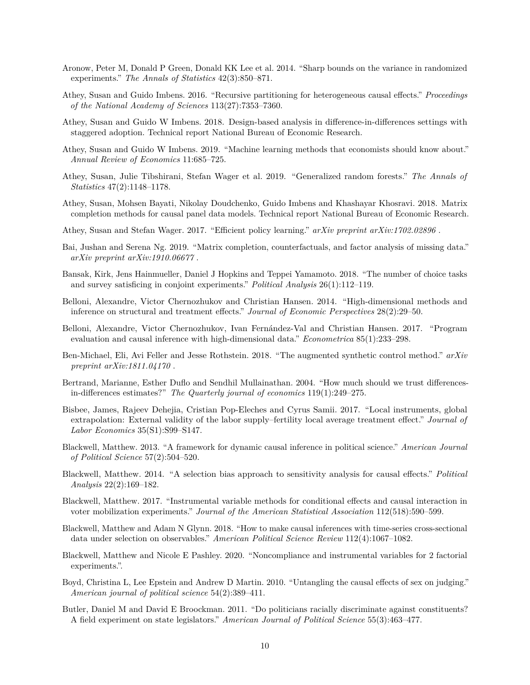- <span id="page-9-0"></span>Aronow, Peter M, Donald P Green, Donald KK Lee et al. 2014. "Sharp bounds on the variance in randomized experiments." *The Annals of Statistics* 42(3):850–871.
- <span id="page-9-5"></span>Athey, Susan and Guido Imbens. 2016. "Recursive partitioning for heterogeneous causal effects." *Proceedings of the National Academy of Sciences* 113(27):7353–7360.
- <span id="page-9-19"></span>Athey, Susan and Guido W Imbens. 2018. Design-based analysis in difference-in-differences settings with staggered adoption. Technical report National Bureau of Economic Research.
- <span id="page-9-3"></span>Athey, Susan and Guido W Imbens. 2019. "Machine learning methods that economists should know about." *Annual Review of Economics* 11:685–725.
- <span id="page-9-6"></span>Athey, Susan, Julie Tibshirani, Stefan Wager et al. 2019. "Generalized random forests." *The Annals of Statistics* 47(2):1148–1178.
- <span id="page-9-17"></span>Athey, Susan, Mohsen Bayati, Nikolay Doudchenko, Guido Imbens and Khashayar Khosravi. 2018. Matrix completion methods for causal panel data models. Technical report National Bureau of Economic Research.
- <span id="page-9-8"></span>Athey, Susan and Stefan Wager. 2017. "Efficient policy learning." *arXiv preprint arXiv:1702.02896* .
- <span id="page-9-18"></span>Bai, Jushan and Serena Ng. 2019. "Matrix completion, counterfactuals, and factor analysis of missing data." *arXiv preprint arXiv:1910.06677* .
- <span id="page-9-1"></span>Bansak, Kirk, Jens Hainmueller, Daniel J Hopkins and Teppei Yamamoto. 2018. "The number of choice tasks and survey satisficing in conjoint experiments." *Political Analysis* 26(1):112–119.
- <span id="page-9-4"></span>Belloni, Alexandre, Victor Chernozhukov and Christian Hansen. 2014. "High-dimensional methods and inference on structural and treatment effects." *Journal of Economic Perspectives* 28(2):29–50.
- <span id="page-9-9"></span>Belloni, Alexandre, Victor Chernozhukov, Ivan Fernández-Val and Christian Hansen. 2017. "Program evaluation and causal inference with high-dimensional data." *Econometrica* 85(1):233–298.
- <span id="page-9-20"></span>Ben-Michael, Eli, Avi Feller and Jesse Rothstein. 2018. "The augmented synthetic control method." *arXiv preprint arXiv:1811.04170* .
- <span id="page-9-14"></span>Bertrand, Marianne, Esther Duflo and Sendhil Mullainathan. 2004. "How much should we trust differencesin-differences estimates?" *The Quarterly journal of economics* 119(1):249–275.
- <span id="page-9-7"></span>Bisbee, James, Rajeev Dehejia, Cristian Pop-Eleches and Cyrus Samii. 2017. "Local instruments, global extrapolation: External validity of the labor supply–fertility local average treatment effect." *Journal of Labor Economics* 35(S1):S99–S147.
- <span id="page-9-15"></span>Blackwell, Matthew. 2013. "A framework for dynamic causal inference in political science." *American Journal of Political Science* 57(2):504–520.
- <span id="page-9-10"></span>Blackwell, Matthew. 2014. "A selection bias approach to sensitivity analysis for causal effects." *Political Analysis* 22(2):169–182.
- <span id="page-9-12"></span>Blackwell, Matthew. 2017. "Instrumental variable methods for conditional effects and causal interaction in voter mobilization experiments." *Journal of the American Statistical Association* 112(518):590–599.
- <span id="page-9-16"></span>Blackwell, Matthew and Adam N Glynn. 2018. "How to make causal inferences with time-series cross-sectional data under selection on observables." *American Political Science Review* 112(4):1067–1082.
- <span id="page-9-13"></span>Blackwell, Matthew and Nicole E Pashley. 2020. "Noncompliance and instrumental variables for 2 factorial experiments.".
- <span id="page-9-11"></span>Boyd, Christina L, Lee Epstein and Andrew D Martin. 2010. "Untangling the causal effects of sex on judging." *American journal of political science* 54(2):389–411.
- <span id="page-9-2"></span>Butler, Daniel M and David E Broockman. 2011. "Do politicians racially discriminate against constituents? A field experiment on state legislators." *American Journal of Political Science* 55(3):463–477.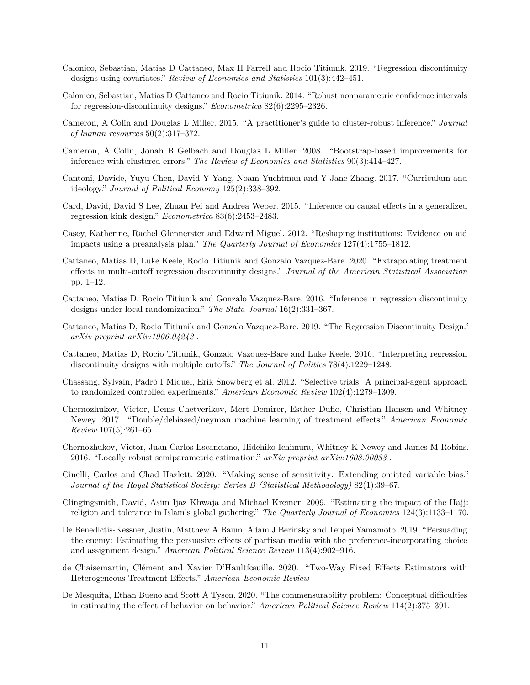- <span id="page-10-7"></span>Calonico, Sebastian, Matias D Cattaneo, Max H Farrell and Rocio Titiunik. 2019. "Regression discontinuity designs using covariates." *Review of Economics and Statistics* 101(3):442–451.
- <span id="page-10-6"></span>Calonico, Sebastian, Matias D Cattaneo and Rocio Titiunik. 2014. "Robust nonparametric confidence intervals for regression-discontinuity designs." *Econometrica* 82(6):2295–2326.
- <span id="page-10-4"></span>Cameron, A Colin and Douglas L Miller. 2015. "A practitioner's guide to cluster-robust inference." *Journal of human resources* 50(2):317–372.
- <span id="page-10-3"></span>Cameron, A Colin, Jonah B Gelbach and Douglas L Miller. 2008. "Bootstrap-based improvements for inference with clustered errors." *The Review of Economics and Statistics* 90(3):414–427.
- <span id="page-10-18"></span>Cantoni, Davide, Yuyu Chen, David Y Yang, Noam Yuchtman and Y Jane Zhang. 2017. "Curriculum and ideology." *Journal of Political Economy* 125(2):338–392.
- <span id="page-10-12"></span>Card, David, David S Lee, Zhuan Pei and Andrea Weber. 2015. "Inference on causal effects in a generalized regression kink design." *Econometrica* 83(6):2453–2483.
- <span id="page-10-15"></span>Casey, Katherine, Rachel Glennerster and Edward Miguel. 2012. "Reshaping institutions: Evidence on aid impacts using a preanalysis plan." *The Quarterly Journal of Economics* 127(4):1755–1812.
- <span id="page-10-9"></span>Cattaneo, Matias D, Luke Keele, Rocío Titiunik and Gonzalo Vazquez-Bare. 2020. "Extrapolating treatment effects in multi-cutoff regression discontinuity designs." *Journal of the American Statistical Association* pp. 1–12.
- <span id="page-10-11"></span>Cattaneo, Matias D, Rocio Titiunik and Gonzalo Vazquez-Bare. 2016. "Inference in regression discontinuity designs under local randomization." *The Stata Journal* 16(2):331–367.
- <span id="page-10-10"></span>Cattaneo, Matias D, Rocio Titiunik and Gonzalo Vazquez-Bare. 2019. "The Regression Discontinuity Design." *arXiv preprint arXiv:1906.04242* .
- <span id="page-10-8"></span>Cattaneo, Matias D, Rocío Titiunik, Gonzalo Vazquez-Bare and Luke Keele. 2016. "Interpreting regression discontinuity designs with multiple cutoffs." *The Journal of Politics* 78(4):1229–1248.
- <span id="page-10-16"></span>Chassang, Sylvain, Padró I Miquel, Erik Snowberg et al. 2012. "Selective trials: A principal-agent approach to randomized controlled experiments." *American Economic Review* 102(4):1279–1309.
- <span id="page-10-1"></span>Chernozhukov, Victor, Denis Chetverikov, Mert Demirer, Esther Duflo, Christian Hansen and Whitney Newey. 2017. "Double/debiased/neyman machine learning of treatment effects." *American Economic Review* 107(5):261–65.
- <span id="page-10-2"></span>Chernozhukov, Victor, Juan Carlos Escanciano, Hidehiko Ichimura, Whitney K Newey and James M Robins. 2016. "Locally robust semiparametric estimation." *arXiv preprint arXiv:1608.00033* .
- <span id="page-10-5"></span>Cinelli, Carlos and Chad Hazlett. 2020. "Making sense of sensitivity: Extending omitted variable bias." *Journal of the Royal Statistical Society: Series B (Statistical Methodology)* 82(1):39–67.
- <span id="page-10-13"></span>Clingingsmith, David, Asim Ijaz Khwaja and Michael Kremer. 2009. "Estimating the impact of the Hajj: religion and tolerance in Islam's global gathering." *The Quarterly Journal of Economics* 124(3):1133–1170.
- <span id="page-10-0"></span>De Benedictis-Kessner, Justin, Matthew A Baum, Adam J Berinsky and Teppei Yamamoto. 2019. "Persuading the enemy: Estimating the persuasive effects of partisan media with the preference-incorporating choice and assignment design." *American Political Science Review* 113(4):902–916.
- <span id="page-10-14"></span>de Chaisemartin, Clément and Xavier D'Haultfœuille. 2020. "Two-Way Fixed Effects Estimators with Heterogeneous Treatment Effects." *American Economic Review* .
- <span id="page-10-17"></span>De Mesquita, Ethan Bueno and Scott A Tyson. 2020. "The commensurability problem: Conceptual difficulties in estimating the effect of behavior on behavior." *American Political Science Review* 114(2):375–391.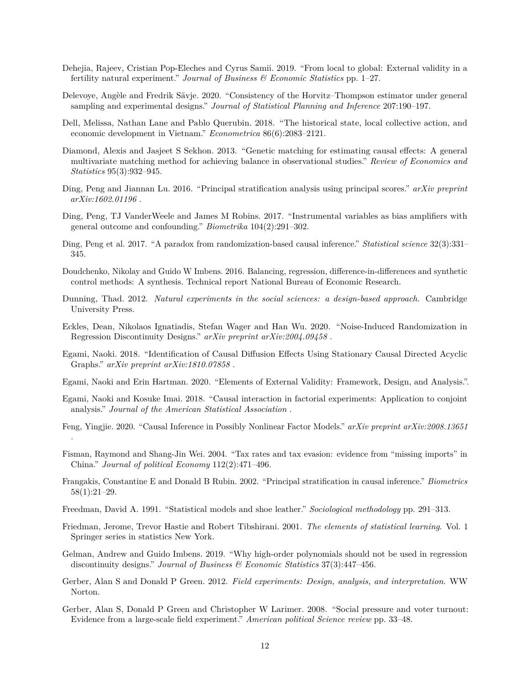- <span id="page-11-9"></span>Dehejia, Rajeev, Cristian Pop-Eleches and Cyrus Samii. 2019. "From local to global: External validity in a fertility natural experiment." *Journal of Business & Economic Statistics* pp. 1–27.
- <span id="page-11-4"></span>Delevoye, Angèle and Fredrik Sävje. 2020. "Consistency of the Horvitz–Thompson estimator under general sampling and experimental designs." *Journal of Statistical Planning and Inference* 207:190–197.
- <span id="page-11-18"></span>Dell, Melissa, Nathan Lane and Pablo Querubin. 2018. "The historical state, local collective action, and economic development in Vietnam." *Econometrica* 86(6):2083–2121.
- <span id="page-11-10"></span>Diamond, Alexis and Jasjeet S Sekhon. 2013. "Genetic matching for estimating causal effects: A general multivariate matching method for achieving balance in observational studies." *Review of Economics and Statistics* 95(3):932–945.
- <span id="page-11-14"></span>Ding, Peng and Jiannan Lu. 2016. "Principal stratification analysis using principal scores." *arXiv preprint arXiv:1602.01196* .
- <span id="page-11-12"></span>Ding, Peng, TJ VanderWeele and James M Robins. 2017. "Instrumental variables as bias amplifiers with general outcome and confounding." *Biometrika* 104(2):291–302.
- <span id="page-11-5"></span>Ding, Peng et al. 2017. "A paradox from randomization-based causal inference." *Statistical science* 32(3):331– 345.
- <span id="page-11-20"></span>Doudchenko, Nikolay and Guido W Imbens. 2016. Balancing, regression, difference-in-differences and synthetic control methods: A synthesis. Technical report National Bureau of Economic Research.
- <span id="page-11-0"></span>Dunning, Thad. 2012. *Natural experiments in the social sciences: a design-based approach*. Cambridge University Press.
- <span id="page-11-16"></span>Eckles, Dean, Nikolaos Ignatiadis, Stefan Wager and Han Wu. 2020. "Noise-Induced Randomization in Regression Discontinuity Designs." *arXiv preprint arXiv:2004.09458* .
- <span id="page-11-17"></span>Egami, Naoki. 2018. "Identification of Causal Diffusion Effects Using Stationary Causal Directed Acyclic Graphs." *arXiv preprint arXiv:1810.07858* .
- <span id="page-11-8"></span>Egami, Naoki and Erin Hartman. 2020. "Elements of External Validity: Framework, Design, and Analysis.".
- <span id="page-11-6"></span>Egami, Naoki and Kosuke Imai. 2018. "Causal interaction in factorial experiments: Application to conjoint analysis." *Journal of the American Statistical Association* .
- <span id="page-11-19"></span>Feng, Yingjie. 2020. "Causal Inference in Possibly Nonlinear Factor Models." *arXiv preprint arXiv:2008.13651* .
- <span id="page-11-11"></span>Fisman, Raymond and Shang-Jin Wei. 2004. "Tax rates and tax evasion: evidence from "missing imports" in China." *Journal of political Economy* 112(2):471–496.
- <span id="page-11-13"></span>Frangakis, Constantine E and Donald B Rubin. 2002. "Principal stratification in causal inference." *Biometrics* 58(1):21–29.
- <span id="page-11-3"></span>Freedman, David A. 1991. "Statistical models and shoe leather." *Sociological methodology* pp. 291–313.
- <span id="page-11-1"></span>Friedman, Jerome, Trevor Hastie and Robert Tibshirani. 2001. *The elements of statistical learning*. Vol. 1 Springer series in statistics New York.
- <span id="page-11-15"></span>Gelman, Andrew and Guido Imbens. 2019. "Why high-order polynomials should not be used in regression discontinuity designs." *Journal of Business & Economic Statistics* 37(3):447–456.
- <span id="page-11-2"></span>Gerber, Alan S and Donald P Green. 2012. *Field experiments: Design, analysis, and interpretation*. WW Norton.
- <span id="page-11-7"></span>Gerber, Alan S, Donald P Green and Christopher W Larimer. 2008. "Social pressure and voter turnout: Evidence from a large-scale field experiment." *American political Science review* pp. 33–48.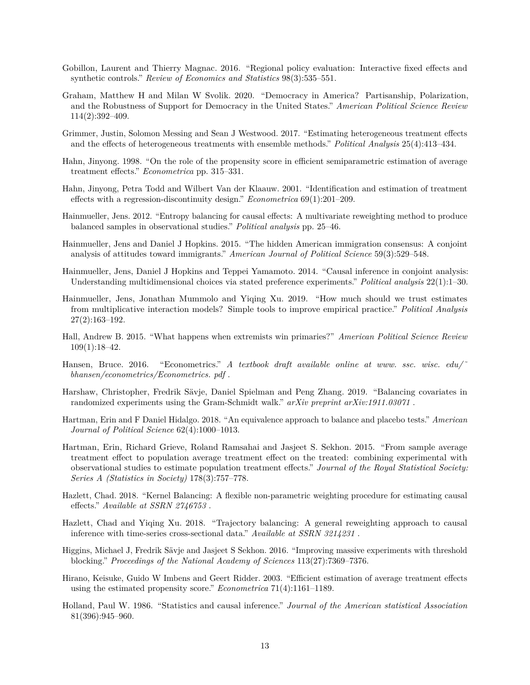- <span id="page-12-15"></span>Gobillon, Laurent and Thierry Magnac. 2016. "Regional policy evaluation: Interactive fixed effects and synthetic controls." *Review of Economics and Statistics* 98(3):535–551.
- <span id="page-12-18"></span>Graham, Matthew H and Milan W Svolik. 2020. "Democracy in America? Partisanship, Polarization, and the Robustness of Support for Democracy in the United States." *American Political Science Review* 114(2):392–409.
- <span id="page-12-6"></span>Grimmer, Justin, Solomon Messing and Sean J Westwood. 2017. "Estimating heterogeneous treatment effects and the effects of heterogeneous treatments with ensemble methods." *Political Analysis* 25(4):413–434.
- <span id="page-12-2"></span>Hahn, Jinyong. 1998. "On the role of the propensity score in efficient semiparametric estimation of average treatment effects." *Econometrica* pp. 315–331.
- <span id="page-12-13"></span>Hahn, Jinyong, Petra Todd and Wilbert Van der Klaauw. 2001. "Identification and estimation of treatment effects with a regression-discontinuity design." *Econometrica* 69(1):201–209.
- <span id="page-12-9"></span>Hainmueller, Jens. 2012. "Entropy balancing for causal effects: A multivariate reweighting method to produce balanced samples in observational studies." *Political analysis* pp. 25–46.
- <span id="page-12-4"></span>Hainmueller, Jens and Daniel J Hopkins. 2015. "The hidden American immigration consensus: A conjoint analysis of attitudes toward immigrants." *American Journal of Political Science* 59(3):529–548.
- <span id="page-12-3"></span>Hainmueller, Jens, Daniel J Hopkins and Teppei Yamamoto. 2014. "Causal inference in conjoint analysis: Understanding multidimensional choices via stated preference experiments." *Political analysis* 22(1):1–30.
- <span id="page-12-5"></span>Hainmueller, Jens, Jonathan Mummolo and Yiqing Xu. 2019. "How much should we trust estimates from multiplicative interaction models? Simple tools to improve empirical practice." *Political Analysis* 27(2):163–192.
- <span id="page-12-14"></span>Hall, Andrew B. 2015. "What happens when extremists win primaries?" *American Political Science Review* 109(1):18–42.
- <span id="page-12-0"></span>Hansen, Bruce. 2016. "Econometrics." *A textbook draft available online at www. ssc. wisc. edu/ bhansen/econometrics/Econometrics. pdf* .
- <span id="page-12-11"></span>Harshaw, Christopher, Fredrik Sävje, Daniel Spielman and Peng Zhang. 2019. "Balancing covariates in randomized experiments using the Gram-Schmidt walk." *arXiv preprint arXiv:1911.03071* .
- <span id="page-12-17"></span>Hartman, Erin and F Daniel Hidalgo. 2018. "An equivalence approach to balance and placebo tests." *American Journal of Political Science* 62(4):1000–1013.
- <span id="page-12-7"></span>Hartman, Erin, Richard Grieve, Roland Ramsahai and Jasjeet S. Sekhon. 2015. "From sample average treatment effect to population average treatment effect on the treated: combining experimental with observational studies to estimate population treatment effects." *Journal of the Royal Statistical Society: Series A (Statistics in Society)* 178(3):757–778.
- <span id="page-12-10"></span>Hazlett, Chad. 2018. "Kernel Balancing: A flexible non-parametric weighting procedure for estimating causal effects." *Available at SSRN 2746753* .
- <span id="page-12-16"></span>Hazlett, Chad and Yiqing Xu. 2018. "Trajectory balancing: A general reweighting approach to causal inference with time-series cross-sectional data." *Available at SSRN 3214231* .
- <span id="page-12-12"></span>Higgins, Michael J, Fredrik Sävje and Jasjeet S Sekhon. 2016. "Improving massive experiments with threshold blocking." *Proceedings of the National Academy of Sciences* 113(27):7369–7376.
- <span id="page-12-8"></span>Hirano, Keisuke, Guido W Imbens and Geert Ridder. 2003. "Efficient estimation of average treatment effects using the estimated propensity score." *Econometrica* 71(4):1161–1189.
- <span id="page-12-1"></span>Holland, Paul W. 1986. "Statistics and causal inference." *Journal of the American statistical Association* 81(396):945–960.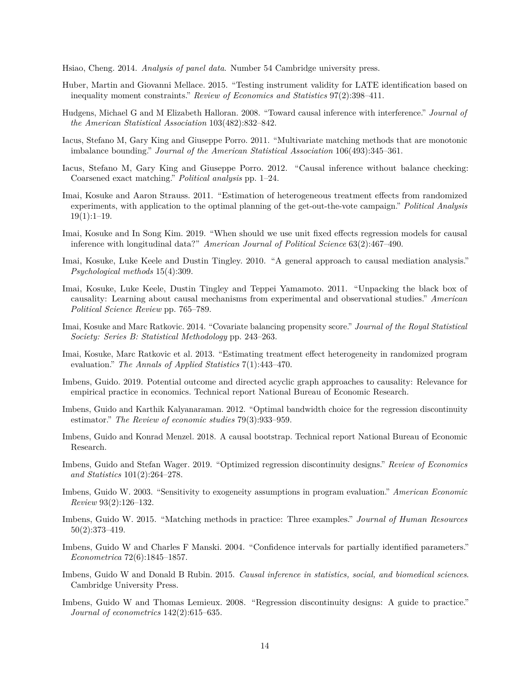<span id="page-13-16"></span>Hsiao, Cheng. 2014. *Analysis of panel data*. Number 54 Cambridge university press.

- <span id="page-13-11"></span>Huber, Martin and Giovanni Mellace. 2015. "Testing instrument validity for LATE identification based on inequality moment constraints." *Review of Economics and Statistics* 97(2):398–411.
- <span id="page-13-15"></span>Hudgens, Michael G and M Elizabeth Halloran. 2008. "Toward causal inference with interference." *Journal of the American Statistical Association* 103(482):832–842.
- <span id="page-13-7"></span>Iacus, Stefano M, Gary King and Giuseppe Porro. 2011. "Multivariate matching methods that are monotonic imbalance bounding." *Journal of the American Statistical Association* 106(493):345–361.
- <span id="page-13-8"></span>Iacus, Stefano M, Gary King and Giuseppe Porro. 2012. "Causal inference without balance checking: Coarsened exact matching." *Political analysis* pp. 1–24.
- <span id="page-13-3"></span>Imai, Kosuke and Aaron Strauss. 2011. "Estimation of heterogeneous treatment effects from randomized experiments, with application to the optimal planning of the get-out-the-vote campaign." *Political Analysis*  $19(1):1-19.$
- <span id="page-13-17"></span>Imai, Kosuke and In Song Kim. 2019. "When should we use unit fixed effects regression models for causal inference with longitudinal data?" *American Journal of Political Science* 63(2):467–490.
- <span id="page-13-18"></span>Imai, Kosuke, Luke Keele and Dustin Tingley. 2010. "A general approach to causal mediation analysis." *Psychological methods* 15(4):309.
- <span id="page-13-19"></span>Imai, Kosuke, Luke Keele, Dustin Tingley and Teppei Yamamoto. 2011. "Unpacking the black box of causality: Learning about causal mechanisms from experimental and observational studies." *American Political Science Review* pp. 765–789.
- <span id="page-13-5"></span>Imai, Kosuke and Marc Ratkovic. 2014. "Covariate balancing propensity score." *Journal of the Royal Statistical Society: Series B: Statistical Methodology* pp. 243–263.
- <span id="page-13-4"></span>Imai, Kosuke, Marc Ratkovic et al. 2013. "Estimating treatment effect heterogeneity in randomized program evaluation." *The Annals of Applied Statistics* 7(1):443–470.
- <span id="page-13-1"></span>Imbens, Guido. 2019. Potential outcome and directed acyclic graph approaches to causality: Relevance for empirical practice in economics. Technical report National Bureau of Economic Research.
- <span id="page-13-12"></span>Imbens, Guido and Karthik Kalyanaraman. 2012. "Optimal bandwidth choice for the regression discontinuity estimator." *The Review of economic studies* 79(3):933–959.
- <span id="page-13-2"></span>Imbens, Guido and Konrad Menzel. 2018. A causal bootstrap. Technical report National Bureau of Economic Research.
- <span id="page-13-14"></span>Imbens, Guido and Stefan Wager. 2019. "Optimized regression discontinuity designs." *Review of Economics and Statistics* 101(2):264–278.
- <span id="page-13-10"></span>Imbens, Guido W. 2003. "Sensitivity to exogeneity assumptions in program evaluation." *American Economic Review* 93(2):126–132.
- <span id="page-13-6"></span>Imbens, Guido W. 2015. "Matching methods in practice: Three examples." *Journal of Human Resources* 50(2):373–419.
- <span id="page-13-9"></span>Imbens, Guido W and Charles F Manski. 2004. "Confidence intervals for partially identified parameters." *Econometrica* 72(6):1845–1857.
- <span id="page-13-0"></span>Imbens, Guido W and Donald B Rubin. 2015. *Causal inference in statistics, social, and biomedical sciences*. Cambridge University Press.
- <span id="page-13-13"></span>Imbens, Guido W and Thomas Lemieux. 2008. "Regression discontinuity designs: A guide to practice." *Journal of econometrics* 142(2):615–635.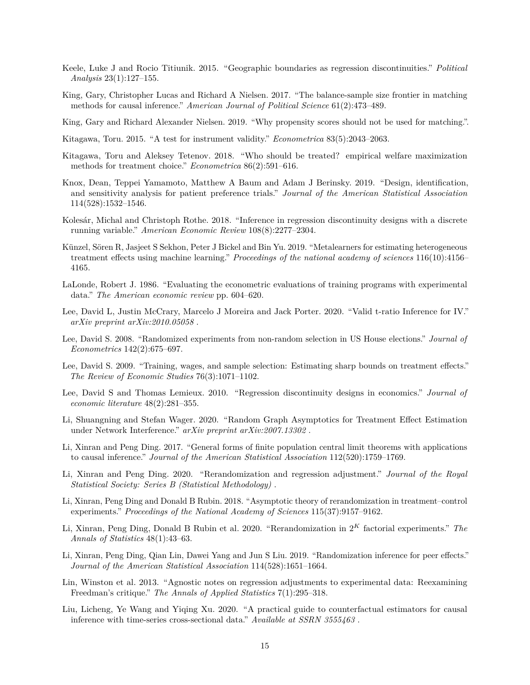- <span id="page-14-16"></span>Keele, Luke J and Rocio Titiunik. 2015. "Geographic boundaries as regression discontinuities." *Political Analysis* 23(1):127–155.
- <span id="page-14-9"></span>King, Gary, Christopher Lucas and Richard A Nielsen. 2017. "The balance-sample size frontier in matching methods for causal inference." *American Journal of Political Science* 61(2):473–489.
- <span id="page-14-8"></span>King, Gary and Richard Alexander Nielsen. 2019. "Why propensity scores should not be used for matching.".
- <span id="page-14-12"></span>Kitagawa, Toru. 2015. "A test for instrument validity." *Econometrica* 83(5):2043–2063.
- <span id="page-14-5"></span>Kitagawa, Toru and Aleksey Tetenov. 2018. "Who should be treated? empirical welfare maximization methods for treatment choice." *Econometrica* 86(2):591–616.
- <span id="page-14-1"></span>Knox, Dean, Teppei Yamamoto, Matthew A Baum and Adam J Berinsky. 2019. "Design, identification, and sensitivity analysis for patient preference trials." *Journal of the American Statistical Association* 114(528):1532–1546.
- <span id="page-14-15"></span>Kolesár, Michal and Christoph Rothe. 2018. "Inference in regression discontinuity designs with a discrete running variable." *American Economic Review* 108(8):2277–2304.
- <span id="page-14-4"></span>Künzel, Sören R, Jasjeet S Sekhon, Peter J Bickel and Bin Yu. 2019. "Metalearners for estimating heterogeneous treatment effects using machine learning." *Proceedings of the national academy of sciences* 116(10):4156– 4165.
- <span id="page-14-11"></span>LaLonde, Robert J. 1986. "Evaluating the econometric evaluations of training programs with experimental data." *The American economic review* pp. 604–620.
- <span id="page-14-13"></span>Lee, David L, Justin McCrary, Marcelo J Moreira and Jack Porter. 2020. "Valid t-ratio Inference for IV." *arXiv preprint arXiv:2010.05058* .
- <span id="page-14-19"></span>Lee, David S. 2008. "Randomized experiments from non-random selection in US House elections." *Journal of Econometrics* 142(2):675–697.
- <span id="page-14-10"></span>Lee, David S. 2009. "Training, wages, and sample selection: Estimating sharp bounds on treatment effects." *The Review of Economic Studies* 76(3):1071–1102.
- <span id="page-14-14"></span>Lee, David S and Thomas Lemieux. 2010. "Regression discontinuity designs in economics." *Journal of economic literature* 48(2):281–355.
- <span id="page-14-17"></span>Li, Shuangning and Stefan Wager. 2020. "Random Graph Asymptotics for Treatment Effect Estimation under Network Interference." *arXiv preprint arXiv:2007.13302* .
- <span id="page-14-0"></span>Li, Xinran and Peng Ding. 2017. "General forms of finite population central limit theorems with applications to causal inference." *Journal of the American Statistical Association* 112(520):1759–1769.
- <span id="page-14-6"></span>Li, Xinran and Peng Ding. 2020. "Rerandomization and regression adjustment." *Journal of the Royal Statistical Society: Series B (Statistical Methodology)* .
- <span id="page-14-7"></span>Li, Xinran, Peng Ding and Donald B Rubin. 2018. "Asymptotic theory of rerandomization in treatment–control experiments." *Proceedings of the National Academy of Sciences* 115(37):9157–9162.
- <span id="page-14-2"></span>Li, Xinran, Peng Ding, Donald B Rubin et al. 2020. "Rerandomization in 2 *<sup>K</sup>* factorial experiments." *The Annals of Statistics* 48(1):43–63.
- <span id="page-14-18"></span>Li, Xinran, Peng Ding, Qian Lin, Dawei Yang and Jun S Liu. 2019. "Randomization inference for peer effects." *Journal of the American Statistical Association* 114(528):1651–1664.
- <span id="page-14-3"></span>Lin, Winston et al. 2013. "Agnostic notes on regression adjustments to experimental data: Reexamining Freedman's critique." *The Annals of Applied Statistics* 7(1):295–318.
- <span id="page-14-20"></span>Liu, Licheng, Ye Wang and Yiqing Xu. 2020. "A practical guide to counterfactual estimators for causal inference with time-series cross-sectional data." *Available at SSRN 3555463* .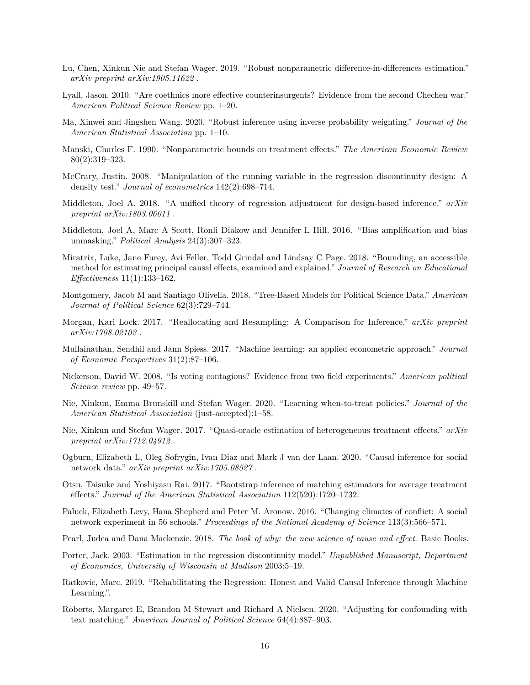- <span id="page-15-20"></span>Lu, Chen, Xinkun Nie and Stefan Wager. 2019. "Robust nonparametric difference-in-differences estimation." *arXiv preprint arXiv:1905.11622* .
- <span id="page-15-13"></span>Lyall, Jason. 2010. "Are coethnics more effective counterinsurgents? Evidence from the second Chechen war." *American Political Science Review* pp. 1–20.
- <span id="page-15-8"></span>Ma, Xinwei and Jingshen Wang. 2020. "Robust inference using inverse probability weighting." *Journal of the American Statistical Association* pp. 1–10.
- <span id="page-15-12"></span>Manski, Charles F. 1990. "Nonparametric bounds on treatment effects." *The American Economic Review* 80(2):319–323.
- <span id="page-15-16"></span>McCrary, Justin. 2008. "Manipulation of the running variable in the regression discontinuity design: A density test." *Journal of econometrics* 142(2):698–714.
- <span id="page-15-1"></span>Middleton, Joel A. 2018. "A unified theory of regression adjustment for design-based inference." *arXiv preprint arXiv:1803.06011* .
- <span id="page-15-3"></span>Middleton, Joel A, Marc A Scott, Ronli Diakow and Jennifer L Hill. 2016. "Bias amplification and bias unmasking." *Political Analysis* 24(3):307–323.
- <span id="page-15-14"></span>Miratrix, Luke, Jane Furey, Avi Feller, Todd Grindal and Lindsay C Page. 2018. "Bounding, an accessible method for estimating principal causal effects, examined and explained." *Journal of Research on Educational Effectiveness* 11(1):133–162.
- <span id="page-15-5"></span>Montgomery, Jacob M and Santiago Olivella. 2018. "Tree-Based Models for Political Science Data." *American Journal of Political Science* 62(3):729–744.
- <span id="page-15-2"></span>Morgan, Kari Lock. 2017. "Reallocating and Resampling: A Comparison for Inference." *arXiv preprint arXiv:1708.02102* .
- <span id="page-15-4"></span>Mullainathan, Sendhil and Jann Spiess. 2017. "Machine learning: an applied econometric approach." *Journal of Economic Perspectives* 31(2):87–106.
- <span id="page-15-18"></span>Nickerson, David W. 2008. "Is voting contagious? Evidence from two field experiments." *American political Science review* pp. 49–57.
- <span id="page-15-7"></span>Nie, Xinkun, Emma Brunskill and Stefan Wager. 2020. "Learning when-to-treat policies." *Journal of the American Statistical Association* (just-accepted):1–58.
- <span id="page-15-6"></span>Nie, Xinkun and Stefan Wager. 2017. "Quasi-oracle estimation of heterogeneous treatment effects." *arXiv preprint arXiv:1712.04912* .
- <span id="page-15-17"></span>Ogburn, Elizabeth L, Oleg Sofrygin, Ivan Diaz and Mark J van der Laan. 2020. "Causal inference for social network data." *arXiv preprint arXiv:1705.08527* .
- <span id="page-15-9"></span>Otsu, Taisuke and Yoshiyasu Rai. 2017. "Bootstrap inference of matching estimators for average treatment effects." *Journal of the American Statistical Association* 112(520):1720–1732.
- <span id="page-15-19"></span>Paluck, Elizabeth Levy, Hana Shepherd and Peter M. Aronow. 2016. "Changing climates of conflict: A social network experiment in 56 schools." *Proceedings of the National Academy of Science* 113(3):566–571.
- <span id="page-15-0"></span>Pearl, Judea and Dana Mackenzie. 2018. *The book of why: the new science of cause and effect*. Basic Books.
- <span id="page-15-15"></span>Porter, Jack. 2003. "Estimation in the regression discontinuity model." *Unpublished Manuscript, Department of Economics, University of Wisconsin at Madison* 2003:5–19.
- <span id="page-15-11"></span>Ratkovic, Marc. 2019. "Rehabilitating the Regression: Honest and Valid Causal Inference through Machine Learning.".
- <span id="page-15-10"></span>Roberts, Margaret E, Brandon M Stewart and Richard A Nielsen. 2020. "Adjusting for confounding with text matching." *American Journal of Political Science* 64(4):887–903.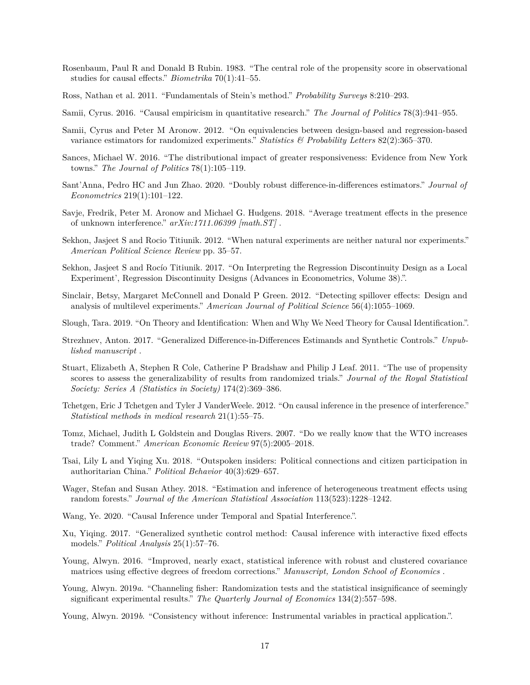- <span id="page-16-6"></span>Rosenbaum, Paul R and Donald B Rubin. 1983. "The central role of the propensity score in observational studies for causal effects." *Biometrika* 70(1):41–55.
- <span id="page-16-1"></span>Ross, Nathan et al. 2011. "Fundamentals of Stein's method." *Probability Surveys* 8:210–293.
- <span id="page-16-0"></span>Samii, Cyrus. 2016. "Causal empiricism in quantitative research." *The Journal of Politics* 78(3):941–955.
- <span id="page-16-3"></span>Samii, Cyrus and Peter M Aronow. 2012. "On equivalencies between design-based and regression-based variance estimators for randomized experiments." *Statistics & Probability Letters* 82(2):365–370.
- <span id="page-16-20"></span>Sances, Michael W. 2016. "The distributional impact of greater responsiveness: Evidence from New York towns." *The Journal of Politics* 78(1):105–119.
- <span id="page-16-18"></span>Sant'Anna, Pedro HC and Jun Zhao. 2020. "Doubly robust difference-in-differences estimators." *Journal of Econometrics* 219(1):101–122.
- <span id="page-16-14"></span>Savje, Fredrik, Peter M. Aronow and Michael G. Hudgens. 2018. "Average treatment effects in the presence of unknown interference." *arXiv:1711.06399 [math.ST]* .
- <span id="page-16-8"></span>Sekhon, Jasjeet S and Rocio Titiunik. 2012. "When natural experiments are neither natural nor experiments." *American Political Science Review* pp. 35–57.
- <span id="page-16-11"></span>Sekhon, Jasjeet S and Rocío Titiunik. 2017. "On Interpreting the Regression Discontinuity Design as a Local Experiment', Regression Discontinuity Designs (Advances in Econometrics, Volume 38).".
- <span id="page-16-13"></span>Sinclair, Betsy, Margaret McConnell and Donald P Green. 2012. "Detecting spillover effects: Design and analysis of multilevel experiments." *American Journal of Political Science* 56(4):1055–1069.
- <span id="page-16-21"></span>Slough, Tara. 2019. "On Theory and Identification: When and Why We Need Theory for Causal Identification.".
- <span id="page-16-16"></span>Strezhnev, Anton. 2017. "Generalized Difference-in-Differences Estimands and Synthetic Controls." *Unpublished manuscript* .
- <span id="page-16-5"></span>Stuart, Elizabeth A, Stephen R Cole, Catherine P Bradshaw and Philip J Leaf. 2011. "The use of propensity scores to assess the generalizability of results from randomized trials." *Journal of the Royal Statistical Society: Series A (Statistics in Society)* 174(2):369–386.
- <span id="page-16-12"></span>Tchetgen, Eric J Tchetgen and Tyler J VanderWeele. 2012. "On causal inference in the presence of interference." *Statistical methods in medical research* 21(1):55–75.
- <span id="page-16-19"></span>Tomz, Michael, Judith L Goldstein and Douglas Rivers. 2007. "Do we really know that the WTO increases trade? Comment." *American Economic Review* 97(5):2005–2018.
- <span id="page-16-9"></span>Tsai, Lily L and Yiqing Xu. 2018. "Outspoken insiders: Political connections and citizen participation in authoritarian China." *Political Behavior* 40(3):629–657.
- <span id="page-16-4"></span>Wager, Stefan and Susan Athey. 2018. "Estimation and inference of heterogeneous treatment effects using random forests." *Journal of the American Statistical Association* 113(523):1228–1242.
- <span id="page-16-15"></span>Wang, Ye. 2020. "Causal Inference under Temporal and Spatial Interference.".
- <span id="page-16-17"></span>Xu, Yiqing. 2017. "Generalized synthetic control method: Causal inference with interactive fixed effects models." *Political Analysis* 25(1):57–76.
- <span id="page-16-7"></span>Young, Alwyn. 2016. "Improved, nearly exact, statistical inference with robust and clustered covariance matrices using effective degrees of freedom corrections." *Manuscript, London School of Economics* .
- <span id="page-16-2"></span>Young, Alwyn. 2019*a*. "Channeling fisher: Randomization tests and the statistical insignificance of seemingly significant experimental results." *The Quarterly Journal of Economics* 134(2):557–598.
- <span id="page-16-10"></span>Young, Alwyn. 2019*b*. "Consistency without inference: Instrumental variables in practical application.".